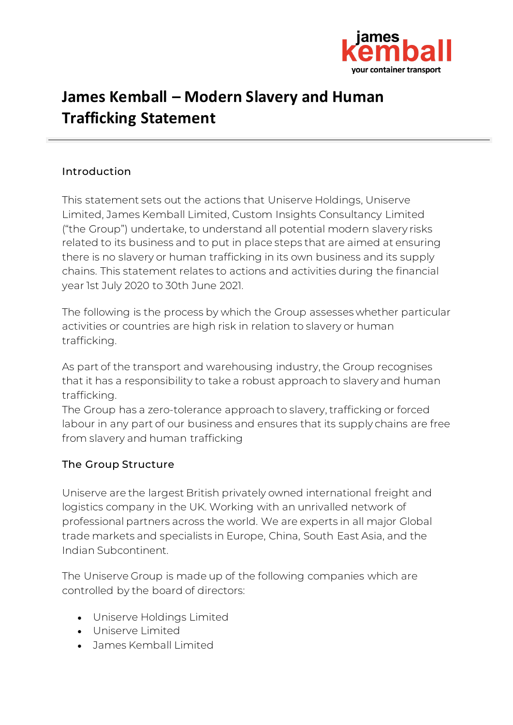

# **James Kemball – Modern Slavery and Human Trafficking Statement**

### Introduction

This statement sets out the actions that Uniserve Holdings, Uniserve Limited, James Kemball Limited, Custom Insights Consultancy Limited ("the Group") undertake, to understand all potential modern slavery risks related to its business and to put in place steps that are aimed at ensuring there is no slavery or human trafficking in its own business and its supply chains. This statement relates to actions and activities during the financial year 1st July 2020 to 30th June 2021.

The following is the process by which the Group assesses whether particular activities or countries are high risk in relation to slavery or human trafficking.

As part of the transport and warehousing industry, the Group recognises that it has a responsibility to take a robust approach to slavery and human trafficking.

The Group has a zero-tolerance approach to slavery, trafficking or forced labour in any part of our business and ensures that its supply chains are free from slavery and human trafficking

#### The Group Structure

Uniserve are the largest British privately owned international freight and logistics company in the UK. Working with an unrivalled network of professional partners across the world. We are experts in all major Global trade markets and specialists in Europe, China, South East Asia, and the Indian Subcontinent.

The Uniserve Group is made up of the following companies which are controlled by the board of directors:

- Uniserve Holdings Limited
- Uniserve Limited
- James Kemball Limited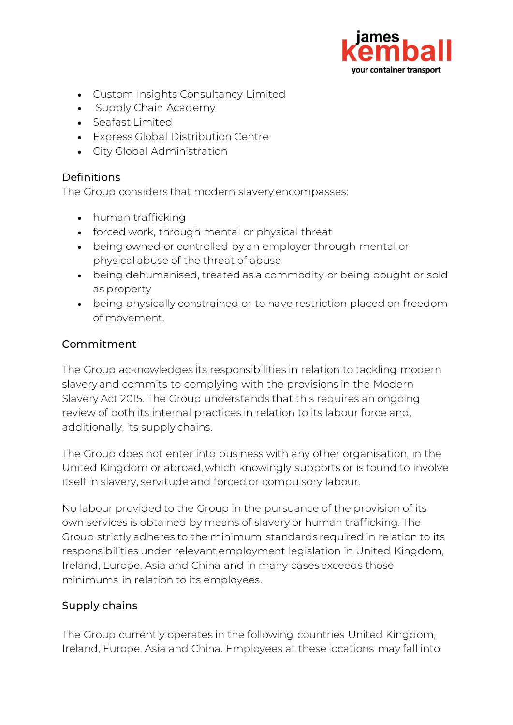

- Custom Insights Consultancy Limited
- Supply Chain Academy
- Seafast Limited
- Express Global Distribution Centre
- City Global Administration

## Definitions

The Group considers that modern slavery encompasses:

- human trafficking
- forced work, through mental or physical threat
- being owned or controlled by an employer through mental or physical abuse of the threat of abuse
- being dehumanised, treated as a commodity or being bought or sold as property
- being physically constrained or to have restriction placed on freedom of movement.

### Commitment

The Group acknowledges its responsibilities in relation to tackling modern slavery and commits to complying with the provisions in the Modern Slavery Act 2015. The Group understands that this requires an ongoing review of both its internal practices in relation to its labour force and, additionally, its supply chains.

The Group does not enter into business with any other organisation, in the United Kingdom or abroad, which knowingly supports or is found to involve itself in slavery, servitude and forced or compulsory labour.

No labour provided to the Group in the pursuance of the provision of its own services is obtained by means of slavery or human trafficking. The Group strictly adheres to the minimum standards required in relation to its responsibilities under relevant employment legislation in United Kingdom, Ireland, Europe, Asia and China and in many cases exceeds those minimums in relation to its employees.

## Supply chains

The Group currently operates in the following countries United Kingdom, Ireland, Europe, Asia and China. Employees at these locations may fall into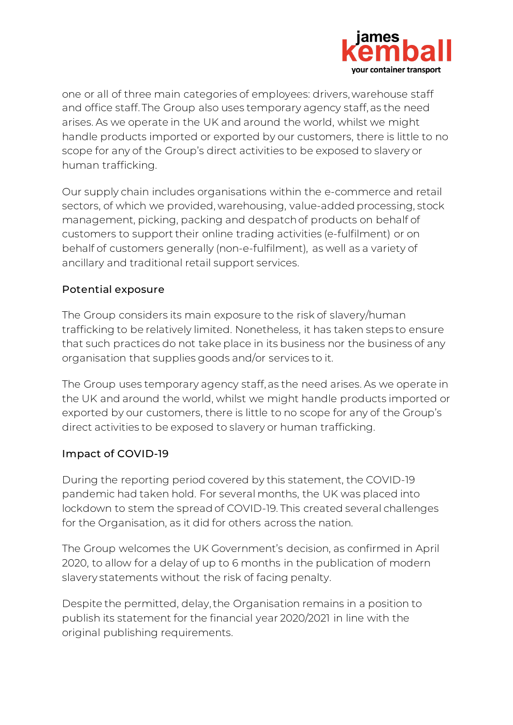

one or all of three main categories of employees: drivers, warehouse staff and office staff. The Group also uses temporary agency staff, as the need arises. As we operate in the UK and around the world, whilst we might handle products imported or exported by our customers, there is little to no scope for any of the Group's direct activities to be exposed to slavery or human trafficking.

Our supply chain includes organisations within the e-commerce and retail sectors, of which we provided, warehousing, value-added processing, stock management, picking, packing and despatch of products on behalf of customers to support their online trading activities (e-fulfilment) or on behalf of customers generally (non-e-fulfilment), as well as a variety of ancillary and traditional retail support services.

## Potential exposure

The Group considers its main exposure to the risk of slavery/human trafficking to be relatively limited. Nonetheless, it has taken steps to ensure that such practices do not take place in its business nor the business of any organisation that supplies goods and/or services to it.

The Group uses temporary agency staff, as the need arises. As we operate in the UK and around the world, whilst we might handle products imported or exported by our customers, there is little to no scope for any of the Group's direct activities to be exposed to slavery or human trafficking.

#### Impact of COVID-19

During the reporting period covered by this statement, the COVID-19 pandemic had taken hold. For several months, the UK was placed into lockdown to stem the spread of COVID-19. This created several challenges for the Organisation, as it did for others across the nation.

The Group welcomes the UK Government's decision, as confirmed in April 2020, to allow for a delay of up to 6 months in the publication of modern slavery statements without the risk of facing penalty.

Despite the permitted, delay, the Organisation remains in a position to publish its statement for the financial year 2020/2021 in line with the original publishing requirements.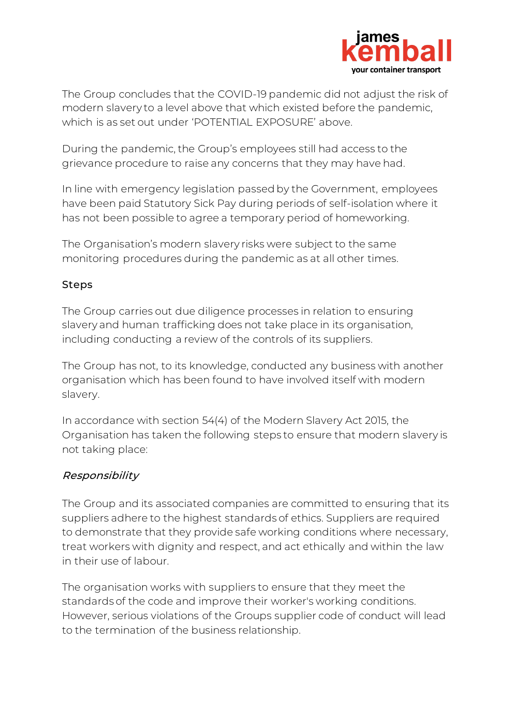

The Group concludes that the COVID-19 pandemic did not adjust the risk of modern slavery to a level above that which existed before the pandemic, which is as set out under 'POTENTIAL EXPOSURE' above.

During the pandemic, the Group's employees still had access to the grievance procedure to raise any concerns that they may have had.

In line with emergency legislation passed by the Government, employees have been paid Statutory Sick Pay during periods of self-isolation where it has not been possible to agree a temporary period of homeworking.

The Organisation's modern slavery risks were subject to the same monitoring procedures during the pandemic as at all other times.

## Steps

The Group carries out due diligence processes in relation to ensuring slavery and human trafficking does not take place in its organisation, including conducting a review of the controls of its suppliers.

The Group has not, to its knowledge, conducted any business with another organisation which has been found to have involved itself with modern slavery.

In accordance with section 54(4) of the Modern Slavery Act 2015, the Organisation has taken the following steps to ensure that modern slavery is not taking place:

## Responsibility

The Group and its associated companies are committed to ensuring that its suppliers adhere to the highest standards of ethics. Suppliers are required to demonstrate that they provide safe working conditions where necessary, treat workers with dignity and respect, and act ethically and within the law in their use of labour.

The organisation works with suppliers to ensure that they meet the standards of the code and improve their worker's working conditions. However, serious violations of the Groups supplier code of conduct will lead to the termination of the business relationship.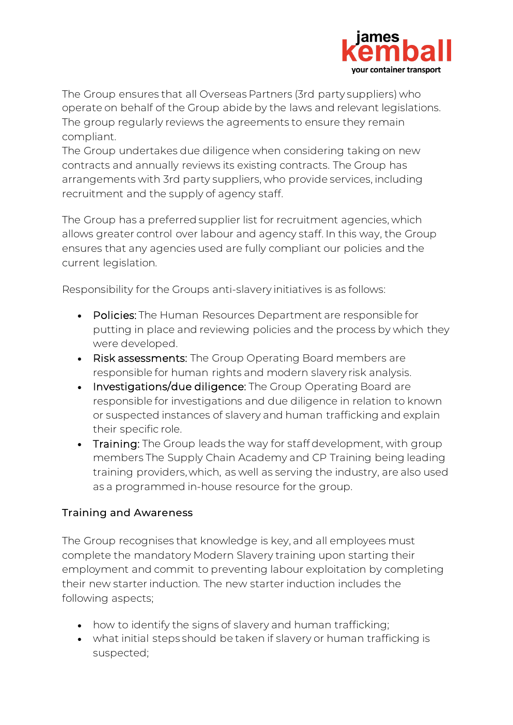

The Group ensures that all Overseas Partners (3rd party suppliers) who operate on behalf of the Group abide by the laws and relevant legislations. The group regularly reviews the agreements to ensure they remain compliant.

The Group undertakes due diligence when considering taking on new contracts and annually reviews its existing contracts. The Group has arrangements with 3rd party suppliers, who provide services, including recruitment and the supply of agency staff.

The Group has a preferred supplier list for recruitment agencies, which allows greater control over labour and agency staff. In this way, the Group ensures that any agencies used are fully compliant our policies and the current legislation.

Responsibility for the Groups anti-slavery initiatives is as follows:

- Policies: The Human Resources Department are responsible for putting in place and reviewing policies and the process by which they were developed.
- Risk assessments: The Group Operating Board members are responsible for human rights and modern slavery risk analysis.
- Investigations/due diligence: The Group Operating Board are responsible for investigations and due diligence in relation to known or suspected instances of slavery and human trafficking and explain their specific role.
- Training: The Group leads the way for staff development, with group members The Supply Chain Academy and CP Training being leading training providers, which, as well as serving the industry, are also used as a programmed in-house resource for the group.

## Training and Awareness

The Group recognises that knowledge is key, and all employees must complete the mandatory Modern Slavery training upon starting their employment and commit to preventing labour exploitation by completing their new starter induction. The new starter induction includes the following aspects;

- how to identify the signs of slavery and human trafficking;
- what initial steps should be taken if slavery or human trafficking is suspected;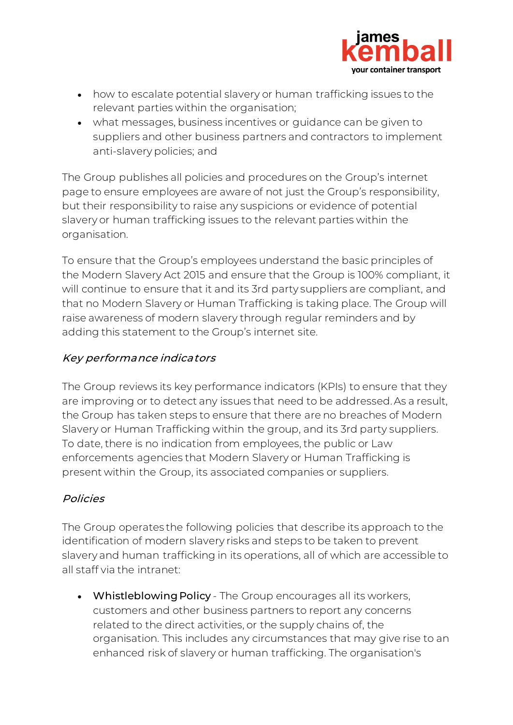

- how to escalate potential slavery or human trafficking issues to the relevant parties within the organisation;
- what messages, business incentives or guidance can be given to suppliers and other business partners and contractors to implement anti-slavery policies; and

The Group publishes all policies and procedures on the Group's internet page to ensure employees are aware of not just the Group's responsibility, but their responsibility to raise any suspicions or evidence of potential slavery or human trafficking issues to the relevant parties within the organisation.

To ensure that the Group's employees understand the basic principles of the Modern Slavery Act 2015 and ensure that the Group is 100% compliant, it will continue to ensure that it and its 3rd party suppliers are compliant, and that no Modern Slavery or Human Trafficking is taking place. The Group will raise awareness of modern slavery through regular reminders and by adding this statement to the Group's internet site.

## Key performance indicators

The Group reviews its key performance indicators (KPIs) to ensure that they are improving or to detect any issues that need to be addressed. As a result, the Group has taken steps to ensure that there are no breaches of Modern Slavery or Human Trafficking within the group, and its 3rd party suppliers. To date, there is no indication from employees, the public or Law enforcements agencies that Modern Slavery or Human Trafficking is present within the Group, its associated companies or suppliers.

## Policies

The Group operates the following policies that describe its approach to the identification of modern slavery risks and steps to be taken to prevent slavery and human trafficking in its operations, all of which are accessible to all staff via the intranet:

• Whistleblowing Policy - The Group encourages all its workers, customers and other business partners to report any concerns related to the direct activities, or the supply chains of, the organisation. This includes any circumstances that may give rise to an enhanced risk of slavery or human trafficking. The organisation's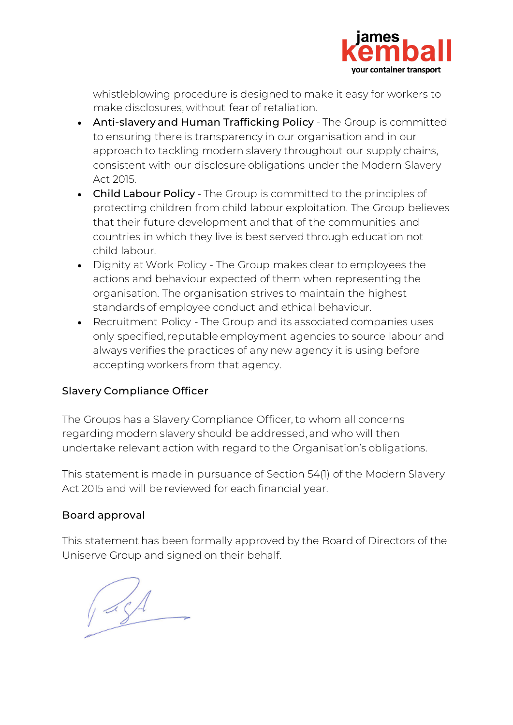

whistleblowing procedure is designed to make it easy for workers to make disclosures, without fear of retaliation.

- Anti-slavery and Human Trafficking Policy The Group is committed to ensuring there is transparency in our organisation and in our approach to tackling modern slavery throughout our supply chains, consistent with our disclosure obligations under the Modern Slavery Act 2015.
- Child Labour Policy The Group is committed to the principles of protecting children from child labour exploitation. The Group believes that their future development and that of the communities and countries in which they live is best served through education not child labour.
- Dignity at Work Policy The Group makes clear to employees the actions and behaviour expected of them when representing the organisation. The organisation strives to maintain the highest standards of employee conduct and ethical behaviour.
- Recruitment Policy The Group and its associated companies uses only specified, reputable employment agencies to source labour and always verifies the practices of any new agency it is using before accepting workers from that agency.

## Slavery Compliance Officer

The Groups has a Slavery Compliance Officer, to whom all concerns regarding modern slavery should be addressed, and who will then undertake relevant action with regard to the Organisation's obligations.

This statement is made in pursuance of Section 54(1) of the Modern Slavery Act 2015 and will be reviewed for each financial year.

## Board approval

This statement has been formally approved by the Board of Directors of the Uniserve Group and signed on their behalf.

 $\mathcal{A}$